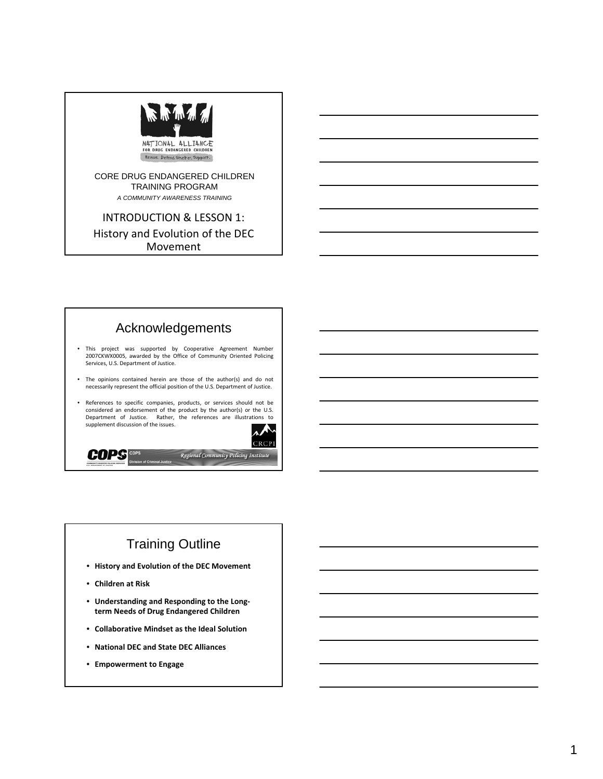

#### CORE DRUG ENDANGERED CHILDREN TRAINING PROGRAM

. *A COMMUNITY AWARENESS TRAINING*

**INTRODUCTION & LESSON 1:** History and Evolution of the DEC Movement



# Training Outline

- $\bullet$  **History** and **Evolution** of the DEC Movement
- **Children at Risk**
- **Understanding Understanding and Responding Responding to the Long‐ term Needs of Drug Endangered Children Children**
- **Collaborative Collaborative Mindset Mindset as the Ideal Solution**
- **National National DEC and State DEC Alliances**
- **Empowerment Empowerment to Engage**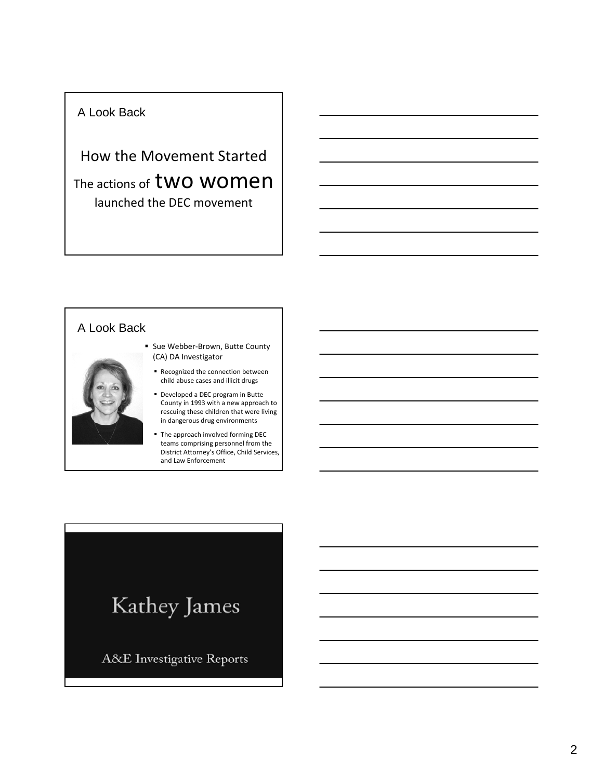## A Look Back

How the Movement Started The actions of **two women** launched the DEC movement

## A Look Back



- Sue Webber-Brown, Butte County (CA) DA Investigator
	- Recognized the connection between child abuse cases and illicit drugs
	- Developed a DEC program in Butte County in 1993 with a new approach to rescuing these children that were living in dangerous drug environments
	- The approach involved forming DEC teams comprising personnel from the District Attorney's Office, Child Services, and Law Enforcement

# Kathey James

A&E Investigative Reports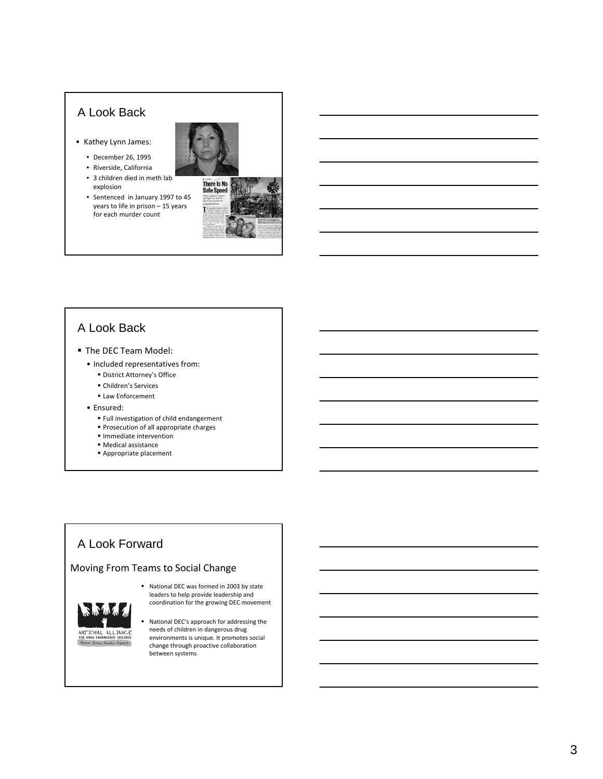# A Look Back

- Kathey Lynn James:
	- December 26, 1995
	- Riverside, California
	- $\bullet$  3 children died in meth lab explosion
	- Sentenced in January 1997 to 45 years to life in prison – 15 years for each murder count



## A Look Back

- **The DEC Team Model:** 
	- Included representatives from:
		- District Attorney's Office
		- Children's Services
		- Law Enforcement
	- Ensured:
		- Full investigation of child endangerment
		- **Prosecution of all appropriate charges**
		- **Immediate intervention**
		- Medical assistance
		- Appropriate placement

# A Look Forward

#### Moving From Teams to Social Change



- National DEC was formed in 2003 by state leaders to help provide leadership and coordination for the growing DEC movement
- National DEC's approach for addressing the needs of children in dangerous drug environments is unique. It promotes social change through proactive collaboration between systems